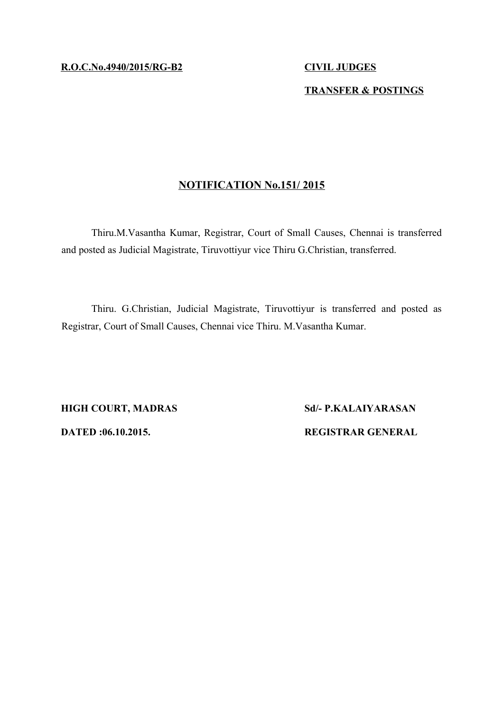## **TRANSFER & POSTINGS**

# **NOTIFICATION No.151/ 2015**

Thiru.M.Vasantha Kumar, Registrar, Court of Small Causes, Chennai is transferred and posted as Judicial Magistrate, Tiruvottiyur vice Thiru G.Christian, transferred.

Thiru. G.Christian, Judicial Magistrate, Tiruvottiyur is transferred and posted as Registrar, Court of Small Causes, Chennai vice Thiru. M.Vasantha Kumar.

**HIGH COURT, MADRAS Sd/- P.KALAIYARASAN DATED :06.10.2015. REGISTRAR GENERAL**